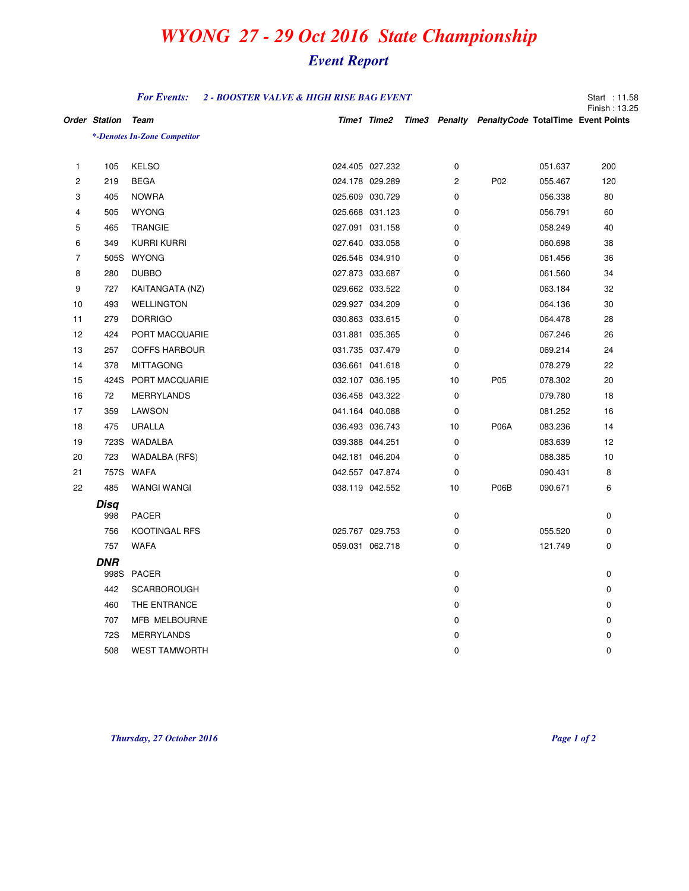## *WYONG 27 - 29 Oct 2016 State Championship*

## *Event Report*

|                | <b>For Events:</b><br>2 - BOOSTER VALVE & HIGH RISE BAG EVENT |                              |                 |                 |  |             |                                                              |         | Start: 11.58<br>Finish: 13.25 |
|----------------|---------------------------------------------------------------|------------------------------|-----------------|-----------------|--|-------------|--------------------------------------------------------------|---------|-------------------------------|
|                | <b>Order Station</b>                                          | Team                         |                 |                 |  |             | Time1 Time2 Time3 Penalty PenaltyCode TotalTime Event Points |         |                               |
|                |                                                               | *-Denotes In-Zone Competitor |                 |                 |  |             |                                                              |         |                               |
|                |                                                               |                              |                 |                 |  |             |                                                              |         |                               |
| $\mathbf{1}$   | 105                                                           | <b>KELSO</b>                 |                 | 024.405 027.232 |  | 0           |                                                              | 051.637 | 200                           |
| 2              | 219                                                           | <b>BEGA</b>                  | 024.178 029.289 |                 |  | 2           | P <sub>02</sub>                                              | 055.467 | 120                           |
| 3              | 405                                                           | <b>NOWRA</b>                 | 025.609 030.729 |                 |  | 0           |                                                              | 056.338 | 80                            |
| 4              | 505                                                           | <b>WYONG</b>                 | 025.668 031.123 |                 |  | 0           |                                                              | 056.791 | 60                            |
| 5              | 465                                                           | <b>TRANGIE</b>               | 027.091 031.158 |                 |  | 0           |                                                              | 058.249 | 40                            |
| 6              | 349                                                           | KURRI KURRI                  | 027.640 033.058 |                 |  | 0           |                                                              | 060.698 | 38                            |
| $\overline{7}$ |                                                               | 505S WYONG                   | 026.546 034.910 |                 |  | 0           |                                                              | 061.456 | 36                            |
| 8              | 280                                                           | <b>DUBBO</b>                 | 027.873 033.687 |                 |  | 0           |                                                              | 061.560 | 34                            |
| 9              | 727                                                           | KAITANGATA (NZ)              | 029.662 033.522 |                 |  | 0           |                                                              | 063.184 | 32                            |
| 10             | 493                                                           | <b>WELLINGTON</b>            | 029.927 034.209 |                 |  | 0           |                                                              | 064.136 | 30                            |
| 11             | 279                                                           | <b>DORRIGO</b>               | 030.863 033.615 |                 |  | 0           |                                                              | 064.478 | 28                            |
| 12             | 424                                                           | PORT MACQUARIE               | 031.881 035.365 |                 |  | $\mathbf 0$ |                                                              | 067.246 | 26                            |
| 13             | 257                                                           | <b>COFFS HARBOUR</b>         | 031.735 037.479 |                 |  | $\mathbf 0$ |                                                              | 069.214 | 24                            |
| 14             | 378                                                           | <b>MITTAGONG</b>             | 036.661 041.618 |                 |  | 0           |                                                              | 078.279 | 22                            |
| 15             |                                                               | 424S PORT MACQUARIE          | 032.107 036.195 |                 |  | 10          | P05                                                          | 078.302 | 20                            |
| 16             | 72                                                            | <b>MERRYLANDS</b>            |                 | 036.458 043.322 |  | $\mathbf 0$ |                                                              | 079.780 | 18                            |
| 17             | 359                                                           | LAWSON                       | 041.164 040.088 |                 |  | 0           |                                                              | 081.252 | 16                            |
| 18             | 475                                                           | <b>URALLA</b>                | 036.493 036.743 |                 |  | 10          | <b>P06A</b>                                                  | 083.236 | 14                            |
| 19             |                                                               | 723S WADALBA                 | 039.388 044.251 |                 |  | $\mathbf 0$ |                                                              | 083.639 | 12                            |
| 20             | 723                                                           | WADALBA (RFS)                | 042.181 046.204 |                 |  | 0           |                                                              | 088.385 | 10                            |
| 21             |                                                               | 757S WAFA                    | 042.557 047.874 |                 |  | 0           |                                                              | 090.431 | 8                             |
| 22             | 485                                                           | WANGI WANGI                  |                 | 038.119 042.552 |  | 10          | P06B                                                         | 090.671 | 6                             |
|                | Disa                                                          |                              |                 |                 |  |             |                                                              |         |                               |
|                | 998                                                           | <b>PACER</b>                 |                 |                 |  | 0           |                                                              |         | 0                             |
|                | 756                                                           | KOOTINGAL RFS                | 025.767 029.753 |                 |  | 0           |                                                              | 055.520 | 0                             |
|                | 757                                                           | <b>WAFA</b>                  | 059.031 062.718 |                 |  | 0           |                                                              | 121.749 | 0                             |
|                | DNR                                                           |                              |                 |                 |  |             |                                                              |         |                               |
|                |                                                               | 998S PACER                   |                 |                 |  | 0           |                                                              |         | 0                             |
|                | 442                                                           | <b>SCARBOROUGH</b>           |                 |                 |  | 0           |                                                              |         | 0                             |
|                | 460                                                           | THE ENTRANCE                 |                 |                 |  | 0           |                                                              |         | 0                             |
|                | 707                                                           | MFB MELBOURNE                |                 |                 |  | $\mathbf 0$ |                                                              |         | $\mathbf 0$                   |
|                | 72S                                                           | <b>MERRYLANDS</b>            |                 |                 |  | 0           |                                                              |         | 0                             |
|                | 508                                                           | <b>WEST TAMWORTH</b>         |                 |                 |  | $\mathbf 0$ |                                                              |         | 0                             |

*Thursday, 27 October 2016 Page 1 of 2*